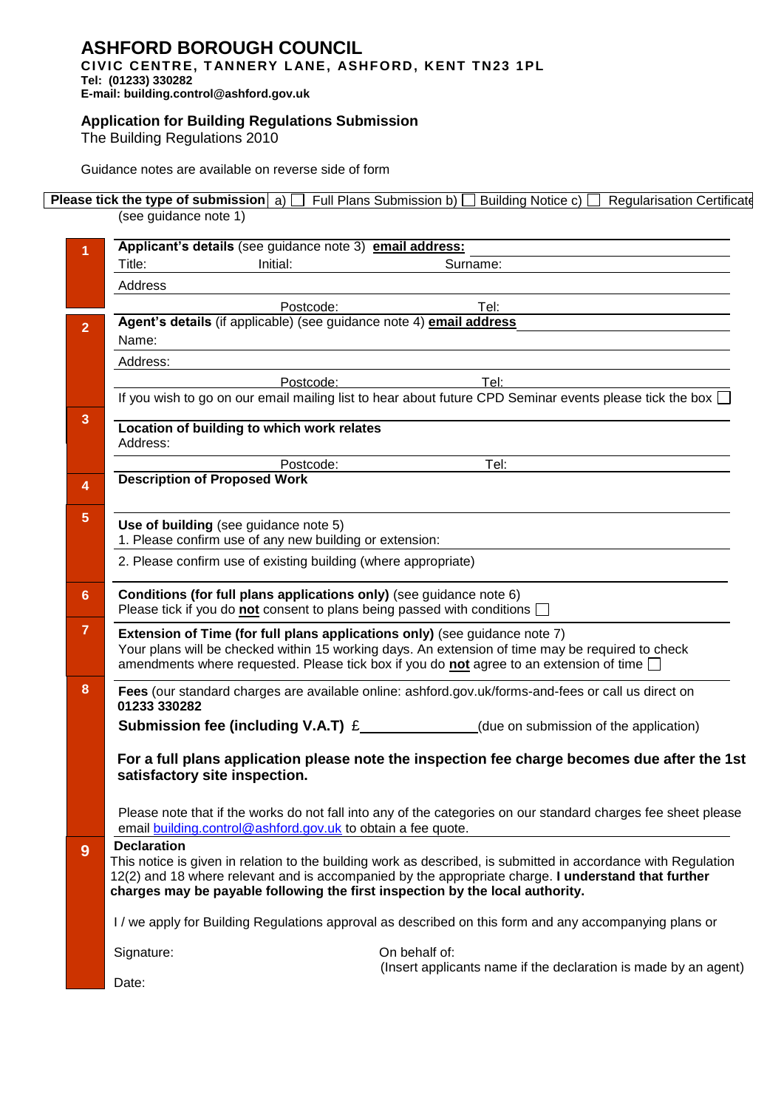## **ASHFORD BOROUGH COUNCIL CIVIC CENTRE, T AN NERY L ANE, ASHFORD, KENT TN23 1PL**

**Tel: (01233) 330282** 

**E-mail: building.control@ashford.gov.uk**

## **Application for Building Regulations Submission**

The Building Regulations 2010

Guidance notes are available on reverse side of form

## **Please tick the type of submission** a) **Full Plans Submission b)** Building Notice c) **Regularisation Certificate** (see guidance note 1)

|                | Applicant's details (see guidance note 3) email address:                                                                                                                                                                                                                                                                     |
|----------------|------------------------------------------------------------------------------------------------------------------------------------------------------------------------------------------------------------------------------------------------------------------------------------------------------------------------------|
|                | Title:<br>Initial:<br>Surname:                                                                                                                                                                                                                                                                                               |
|                | Address                                                                                                                                                                                                                                                                                                                      |
|                | Postcode:<br>Tel:                                                                                                                                                                                                                                                                                                            |
| $\overline{2}$ | Agent's details (if applicable) (see guidance note 4) email address                                                                                                                                                                                                                                                          |
|                | Name:                                                                                                                                                                                                                                                                                                                        |
|                | Address:                                                                                                                                                                                                                                                                                                                     |
|                | Tel:<br>Postcode:                                                                                                                                                                                                                                                                                                            |
|                | If you wish to go on our email mailing list to hear about future CPD Seminar events please tick the box $\Box$                                                                                                                                                                                                               |
| $\mathbf{3}$   | Location of building to which work relates<br>Address:                                                                                                                                                                                                                                                                       |
|                | Postcode:<br>Tel:                                                                                                                                                                                                                                                                                                            |
| $\overline{4}$ | <b>Description of Proposed Work</b>                                                                                                                                                                                                                                                                                          |
| 5              |                                                                                                                                                                                                                                                                                                                              |
|                | Use of building (see guidance note 5)<br>1. Please confirm use of any new building or extension:                                                                                                                                                                                                                             |
|                | 2. Please confirm use of existing building (where appropriate)                                                                                                                                                                                                                                                               |
|                |                                                                                                                                                                                                                                                                                                                              |
| 6              | Conditions (for full plans applications only) (see guidance note 6)<br>Please tick if you do not consent to plans being passed with conditions $\Box$                                                                                                                                                                        |
| 7              | Extension of Time (for full plans applications only) (see guidance note 7)<br>Your plans will be checked within 15 working days. An extension of time may be required to check<br>amendments where requested. Please tick box if you do <b>not</b> agree to an extension of time $\Box$                                      |
| 8              | Fees (our standard charges are available online: ashford.gov.uk/forms-and-fees or call us direct on<br>01233 330282                                                                                                                                                                                                          |
|                | <b>Submission fee (including V.A.T)</b> $E$ (due on submission of the application)                                                                                                                                                                                                                                           |
|                | For a full plans application please note the inspection fee charge becomes due after the 1st<br>satisfactory site inspection.                                                                                                                                                                                                |
|                | Please note that if the works do not fall into any of the categories on our standard charges fee sheet please<br>email building control@ashford.gov.uk to obtain a fee quote.                                                                                                                                                |
| 9              | <b>Declaration</b><br>This notice is given in relation to the building work as described, is submitted in accordance with Regulation<br>12(2) and 18 where relevant and is accompanied by the appropriate charge. I understand that further<br>charges may be payable following the first inspection by the local authority. |
|                | I/we apply for Building Regulations approval as described on this form and any accompanying plans or                                                                                                                                                                                                                         |
|                | On behalf of:<br>Signature:<br>(Insert applicants name if the declaration is made by an agent)                                                                                                                                                                                                                               |
|                | Date:                                                                                                                                                                                                                                                                                                                        |
|                |                                                                                                                                                                                                                                                                                                                              |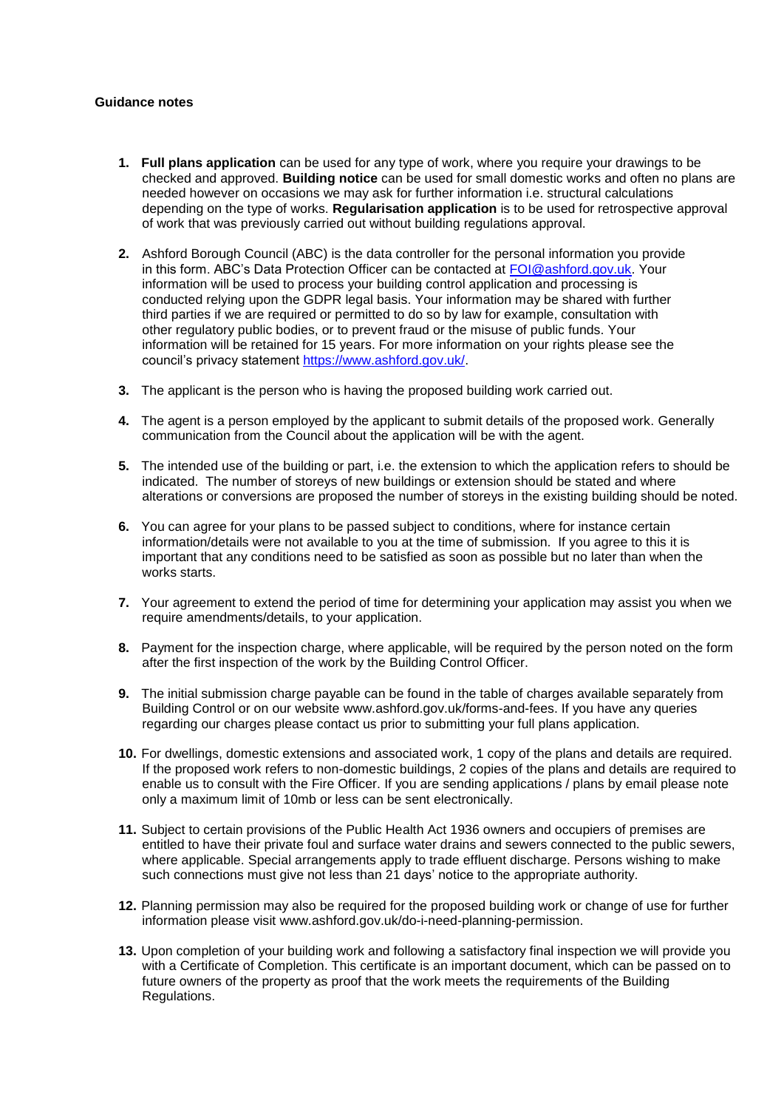## **Guidance notes**

- **1. Full plans application** can be used for any type of work, where you require your drawings to be checked and approved. **Building notice** can be used for small domestic works and often no plans are needed however on occasions we may ask for further information i.e. structural calculations depending on the type of works. **Regularisation application** is to be used for retrospective approval of work that was previously carried out without building regulations approval.
- **2.** Ashford Borough Council (ABC) is the data controller for the personal information you provide in this form. ABC's Data Protection Officer can be contacted at [FOI@ashford.gov.uk.](mailto:FOI@ashford.gov.uk) Your information will be used to process your building control application and processing is conducted relying upon the GDPR legal basis. Your information may be shared with further third parties if we are required or permitted to do so by law for example, consultation with other regulatory public bodies, or to prevent fraud or the misuse of public funds. Your information will be retained for 15 years. For more information on your rights please see the council's privacy statement [https://www.ashford.gov.uk/.](https://www.ashford.gov.uk/)
- **3.** The applicant is the person who is having the proposed building work carried out.
- **4.** The agent is a person employed by the applicant to submit details of the proposed work. Generally communication from the Council about the application will be with the agent.
- **5.** The intended use of the building or part, i.e. the extension to which the application refers to should be indicated. The number of storeys of new buildings or extension should be stated and where alterations or conversions are proposed the number of storeys in the existing building should be noted.
- **6.** You can agree for your plans to be passed subject to conditions, where for instance certain information/details were not available to you at the time of submission. If you agree to this it is important that any conditions need to be satisfied as soon as possible but no later than when the works starts.
- **7.** Your agreement to extend the period of time for determining your application may assist you when we require amendments/details, to your application.
- **8.** Payment for the inspection charge, where applicable, will be required by the person noted on the form after the first inspection of the work by the Building Control Officer.
- **9.** The initial submission charge payable can be found in the table of charges available separately from Building Control or on our website www.ashford.gov.uk/forms-and-fees. If you have any queries regarding our charges please contact us prior to submitting your full plans application.
- **10.** For dwellings, domestic extensions and associated work, 1 copy of the plans and details are required. If the proposed work refers to non-domestic buildings, 2 copies of the plans and details are required to enable us to consult with the Fire Officer. If you are sending applications / plans by email please note only a maximum limit of 10mb or less can be sent electronically.
- **11.** Subject to certain provisions of the Public Health Act 1936 owners and occupiers of premises are entitled to have their private foul and surface water drains and sewers connected to the public sewers, where applicable. Special arrangements apply to trade effluent discharge. Persons wishing to make such connections must give not less than 21 days' notice to the appropriate authority.
- **12.** Planning permission may also be required for the proposed building work or change of use for further information please visit www.ashford.gov.uk/do-i-need-planning-permission.
- **13.** Upon completion of your building work and following a satisfactory final inspection we will provide you with a Certificate of Completion. This certificate is an important document, which can be passed on to future owners of the property as proof that the work meets the requirements of the Building Regulations.